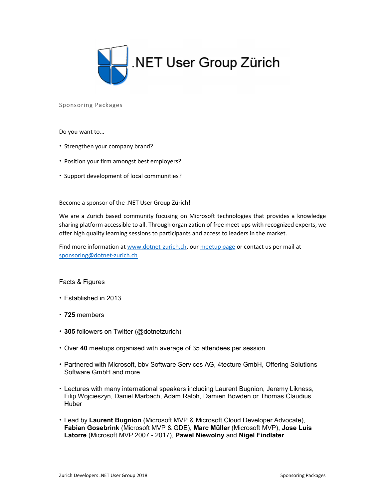

Sponsoring Packages

Do you want to…

- Strengthen your company brand?
- Position your firm amongst best employers?
- Support development of local communities?

Become a sponsor of the .NET User Group Zürich!

We are a Zurich based community focusing on Microsoft technologies that provides a knowledge sharing platform accessible to all. Through organization of free meet-ups with recognized experts, we offer high quality learning sessions to participants and access to leaders in the market.

Find more information at www.dotnet-zurich.ch, our meetup page or contact us per mail at sponsoring@dotnet-zurich.ch

## Facts & Figures

- Established in 2013
- 725 members
- 305 followers on Twitter (@dotnetzurich)
- Over 40 meetups organised with average of 35 attendees per session
- Partnered with Microsoft, bbv Software Services AG, 4tecture GmbH, Offering Solutions Software GmbH and more
- Lectures with many international speakers including Laurent Bugnion, Jeremy Likness, Filip Wojcieszyn, Daniel Marbach, Adam Ralph, Damien Bowden or Thomas Claudius Huber
- Lead by Laurent Bugnion (Microsoft MVP & Microsoft Cloud Developer Advocate), Fabian Gosebrink (Microsoft MVP & GDE), Marc Müller (Microsoft MVP), Jose Luis Latorre (Microsoft MVP 2007 - 2017), Pawel Niewolny and Nigel Findlater